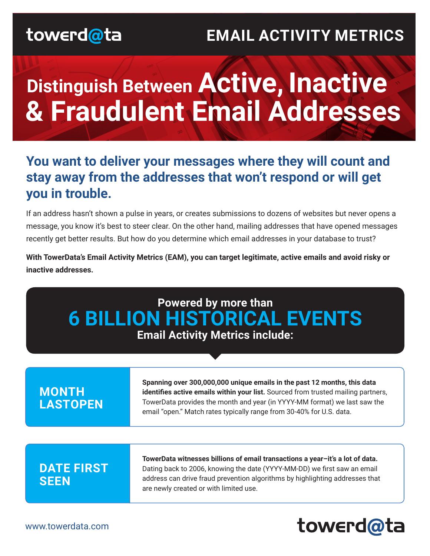## **EMAIL ACTIVITY METRICS**

# **Distinguish Between Active, Inactive & Fraudulent Email Addresses**

### **You want to deliver your messages where they will count and stay away from the addresses that won't respond or will get you in trouble.**

If an address hasn't shown a pulse in years, or creates submissions to dozens of websites but never opens a message, you know it's best to steer clear. On the other hand, mailing addresses that have opened messages recently get better results. But how do you determine which email addresses in your database to trust?

**With TowerData's Email Activity Metrics (EAM), you can target legitimate, active emails and avoid risky or inactive addresses.**

| Powered by more than<br><b>6 BILLION HISTORICAL EVENTS</b><br><b>Email Activity Metrics include:</b> |                                                                                                                                                                                                                                                                                                                    |
|------------------------------------------------------------------------------------------------------|--------------------------------------------------------------------------------------------------------------------------------------------------------------------------------------------------------------------------------------------------------------------------------------------------------------------|
| <b>MONTH</b><br><b>LASTOPEN</b>                                                                      | Spanning over 300,000,000 unique emails in the past 12 months, this data<br>identifies active emails within your list. Sourced from trusted mailing partners,<br>TowerData provides the month and year (in YYYY-MM format) we last saw the<br>email "open." Match rates typically range from 30-40% for U.S. data. |
| <b>DATE FIRST</b><br><b>SEEN</b>                                                                     | TowerData witnesses billions of email transactions a year-it's a lot of data.<br>Dating back to 2006, knowing the date (YYYY-MM-DD) we first saw an email<br>address can drive fraud prevention algorithms by highlighting addresses that<br>are newly created or with limited use.                                |

## towerd@ta